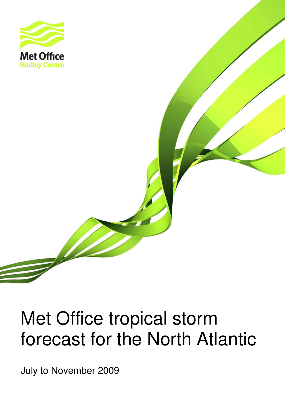

# Met Office tropical storm forecast for the North Atlantic

officertransfer and the United Stormatics and the United States of the United States and the United States and July to November 2009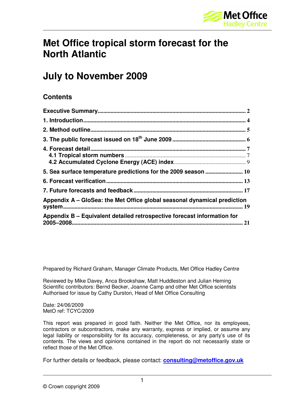

## **Met Office tropical storm forecast for the North Atlantic**

## **July to November 2009**

#### **Contents**

| 5. Sea surface temperature predictions for the 2009 season  10           |      |
|--------------------------------------------------------------------------|------|
|                                                                          |      |
|                                                                          |      |
| Appendix A – GloSea: the Met Office global seasonal dynamical prediction |      |
| Appendix B – Equivalent detailed retrospective forecast information for  | . 21 |

Prepared by Richard Graham, Manager Climate Products, Met Office Hadley Centre

Reviewed by Mike Davey, Anca Brookshaw, Matt Huddleston and Julian Heming Scientific contributors: Bernd Becker, Joanne Camp and other Met Office scientists Authorised for issue by Cathy Durston, Head of Met Office Consulting

Date: 24/06/2009 MetO ref: TCYC/2009

This report was prepared in good faith. Neither the Met Office, nor its employees, contractors or subcontractors, make any warranty, express or implied, or assume any legal liability or responsibility for its accuracy, completeness, or any party's use of its contents. The views and opinions contained in the report do not necessarily state or reflect those of the Met Office.

For further details or feedback, please contact: **consulting@metoffice.gov.uk**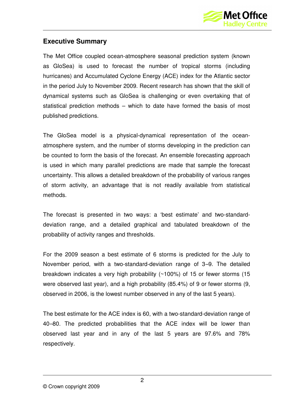

#### **Executive Summary**

The Met Office coupled ocean-atmosphere seasonal prediction system (known as GloSea) is used to forecast the number of tropical storms (including hurricanes) and Accumulated Cyclone Energy (ACE) index for the Atlantic sector in the period July to November 2009. Recent research has shown that the skill of dynamical systems such as GloSea is challenging or even overtaking that of statistical prediction methods – which to date have formed the basis of most published predictions.

The GloSea model is a physical-dynamical representation of the oceanatmosphere system, and the number of storms developing in the prediction can be counted to form the basis of the forecast. An ensemble forecasting approach is used in which many parallel predictions are made that sample the forecast uncertainty. This allows a detailed breakdown of the probability of various ranges of storm activity, an advantage that is not readily available from statistical methods.

The forecast is presented in two ways: a 'best estimate' and two-standarddeviation range, and a detailed graphical and tabulated breakdown of the probability of activity ranges and thresholds.

For the 2009 season a best estimate of 6 storms is predicted for the July to November period, with a two-standard-deviation range of 3–9. The detailed breakdown indicates a very high probability (~100%) of 15 or fewer storms (15 were observed last year), and a high probability (85.4%) of 9 or fewer storms (9, observed in 2006, is the lowest number observed in any of the last 5 years).

The best estimate for the ACE index is 60, with a two-standard-deviation range of 40–80. The predicted probabilities that the ACE index will be lower than observed last year and in any of the last 5 years are 97.6% and 78% respectively.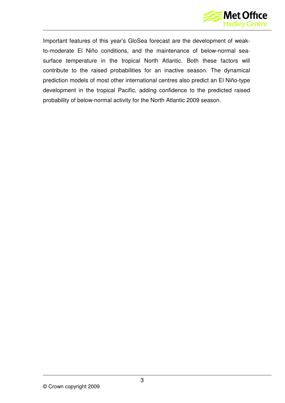

Important features of this year's GloSea forecast are the development of weakto-moderate El Niño conditions, and the maintenance of below-normal seasurface temperature in the tropical North Atlantic. Both these factors will contribute to the raised probabilities for an inactive season. The dynamical prediction models of most other international centres also predict an El Niño-type development in the tropical Pacific, adding confidence to the predicted raised probability of below-normal activity for the North Atlantic 2009 season.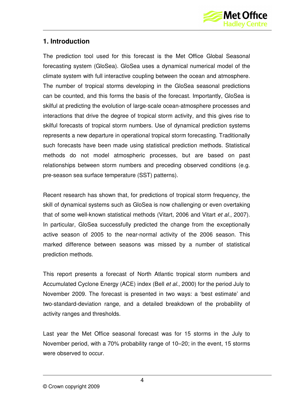

#### **1. Introduction**

The prediction tool used for this forecast is the Met Office Global Seasonal forecasting system (GloSea). GloSea uses a dynamical numerical model of the climate system with full interactive coupling between the ocean and atmosphere. The number of tropical storms developing in the GloSea seasonal predictions can be counted, and this forms the basis of the forecast. Importantly, GloSea is skilful at predicting the evolution of large-scale ocean-atmosphere processes and interactions that drive the degree of tropical storm activity, and this gives rise to skilful forecasts of tropical storm numbers. Use of dynamical prediction systems represents a new departure in operational tropical storm forecasting. Traditionally such forecasts have been made using statistical prediction methods. Statistical methods do not model atmospheric processes, but are based on past relationships between storm numbers and preceding observed conditions (e.g. pre-season sea surface temperature (SST) patterns).

Recent research has shown that, for predictions of tropical storm frequency, the skill of dynamical systems such as GloSea is now challenging or even overtaking that of some well-known statistical methods (Vitart, 2006 and Vitart et al., 2007). In particular, GloSea successfully predicted the change from the exceptionally active season of 2005 to the near-normal activity of the 2006 season. This marked difference between seasons was missed by a number of statistical prediction methods.

This report presents a forecast of North Atlantic tropical storm numbers and Accumulated Cyclone Energy (ACE) index (Bell et al., 2000) for the period July to November 2009. The forecast is presented in two ways: a 'best estimate' and two-standard-deviation range, and a detailed breakdown of the probability of activity ranges and thresholds.

Last year the Met Office seasonal forecast was for 15 storms in the July to November period, with a 70% probability range of 10–20; in the event, 15 storms were observed to occur.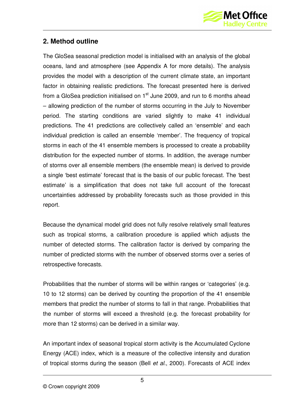

#### **2. Method outline**

The GloSea seasonal prediction model is initialised with an analysis of the global oceans, land and atmosphere (see Appendix A for more details). The analysis provides the model with a description of the current climate state, an important factor in obtaining realistic predictions. The forecast presented here is derived from a GloSea prediction initialised on  $1<sup>st</sup>$  June 2009, and run to 6 months ahead – allowing prediction of the number of storms occurring in the July to November period. The starting conditions are varied slightly to make 41 individual predictions. The 41 predictions are collectively called an 'ensemble' and each individual prediction is called an ensemble 'member'. The frequency of tropical storms in each of the 41 ensemble members is processed to create a probability distribution for the expected number of storms. In addition, the average number of storms over all ensemble members (the ensemble mean) is derived to provide a single 'best estimate' forecast that is the basis of our public forecast. The 'best estimate' is a simplification that does not take full account of the forecast uncertainties addressed by probability forecasts such as those provided in this report.

Because the dynamical model grid does not fully resolve relatively small features such as tropical storms, a calibration procedure is applied which adjusts the number of detected storms. The calibration factor is derived by comparing the number of predicted storms with the number of observed storms over a series of retrospective forecasts.

Probabilities that the number of storms will be within ranges or 'categories' (e.g. 10 to 12 storms) can be derived by counting the proportion of the 41 ensemble members that predict the number of storms to fall in that range. Probabilities that the number of storms will exceed a threshold (e.g. the forecast probability for more than 12 storms) can be derived in a similar way.

An important index of seasonal tropical storm activity is the Accumulated Cyclone Energy (ACE) index, which is a measure of the collective intensity and duration of tropical storms during the season (Bell et al., 2000). Forecasts of ACE index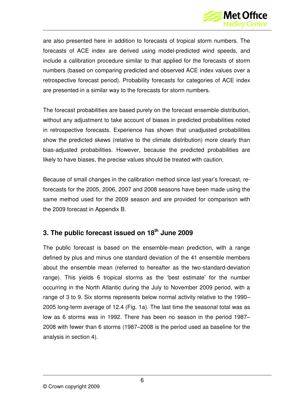

are also presented here in addition to forecasts of tropical storm numbers. The forecasts of ACE index are derived using model-predicted wind speeds, and include a calibration procedure similar to that applied for the forecasts of storm numbers (based on comparing predicted and observed ACE index values over a retrospective forecast period). Probability forecasts for categories of ACE index are presented in a similar way to the forecasts for storm numbers.

The forecast probabilities are based purely on the forecast ensemble distribution, without any adjustment to take account of biases in predicted probabilities noted in retrospective forecasts. Experience has shown that unadjusted probabilities show the predicted skews (relative to the climate distribution) more clearly than bias-adjusted probabilities. However, because the predicted probabilities are likely to have biases, the precise values should be treated with caution.

Because of small changes in the calibration method since last year's forecast, reforecasts for the 2005, 2006, 2007 and 2008 seasons have been made using the same method used for the 2009 season and are provided for comparison with the 2009 forecast in Appendix B.

#### **3. The public forecast issued on 18th June 2009**

The public forecast is based on the ensemble-mean prediction, with a range defined by plus and minus one standard deviation of the 41 ensemble members about the ensemble mean (referred to hereafter as the two-standard-deviation range). This yields 6 tropical storms as the 'best estimate' for the number occurring in the North Atlantic during the July to November 2009 period, with a range of 3 to 9. Six storms represents below normal activity relative to the 1990– 2005 long-term average of 12.4 (Fig. 1a). The last time the seasonal total was as low as 6 storms was in 1992. There has been no season in the period 1987– 2008 with fewer than 6 storms (1987–2008 is the period used as baseline for the analysis in section 4).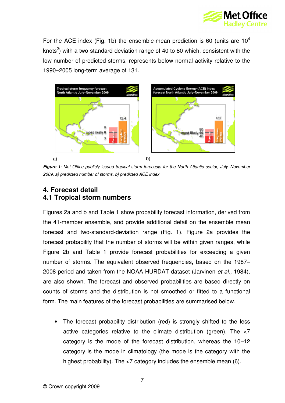

For the ACE index (Fig. 1b) the ensemble-mean prediction is 60 (units are  $10^4$ knots<sup>2</sup>) with a two-standard-deviation range of 40 to 80 which, consistent with the low number of predicted storms, represents below normal activity relative to the 1990–2005 long-term average of 131.



**Figure 1**: Met Office publicly issued tropical storm forecasts for the North Atlantic sector, July–November 2009. a) predicted number of storms, b) predicted ACE index

#### **4. Forecast detail 4.1 Tropical storm numbers**

Figures 2a and b and Table 1 show probability forecast information, derived from the 41-member ensemble, and provide additional detail on the ensemble mean forecast and two-standard-deviation range (Fig. 1). Figure 2a provides the forecast probability that the number of storms will be within given ranges, while Figure 2b and Table 1 provide forecast probabilities for exceeding a given number of storms. The equivalent observed frequencies, based on the 1987– 2008 period and taken from the NOAA HURDAT dataset (Jarvinen et al., 1984), are also shown. The forecast and observed probabilities are based directly on counts of storms and the distribution is not smoothed or fitted to a functional form. The main features of the forecast probabilities are summarised below.

The forecast probability distribution (red) is strongly shifted to the less active categories relative to the climate distribution (green). The <7 category is the mode of the forecast distribution, whereas the 10–12 category is the mode in climatology (the mode is the category with the highest probability). The <7 category includes the ensemble mean (6).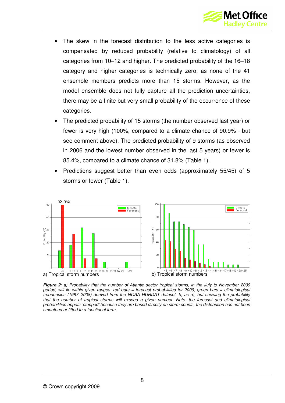

- The skew in the forecast distribution to the less active categories is compensated by reduced probability (relative to climatology) of all categories from 10–12 and higher. The predicted probability of the 16–18 category and higher categories is technically zero, as none of the 41 ensemble members predicts more than 15 storms. However, as the model ensemble does not fully capture all the prediction uncertainties, there may be a finite but very small probability of the occurrence of these categories.
- The predicted probability of 15 storms (the number observed last year) or fewer is very high (100%, compared to a climate chance of 90.9% - but see comment above). The predicted probability of 9 storms (as observed in 2006 and the lowest number observed in the last 5 years) or fewer is 85.4%, compared to a climate chance of 31.8% (Table 1).
- Predictions suggest better than even odds (approximately 55/45) of 5 storms or fewer (Table 1).



**Figure 2**: a) Probability that the number of Atlantic sector tropical storms, in the July to November 2009 period, will lie within given ranges: red bars = forecast probabilities for 2009; green bars = climatological frequencies (1987–2008) derived from the NOAA HURDAT dataset. b) as a), but showing the probability that the number of tropical storms will exceed a given number. Note: the forecast and climatological probabilities appear 'stepped' because they are based directly on storm counts, the distribution has not been smoothed or fitted to a functional form.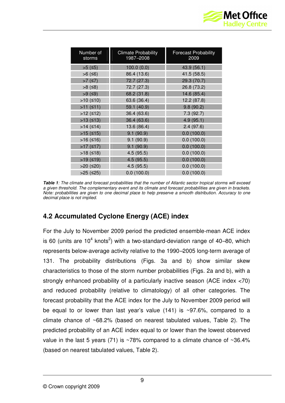

| Number of<br>storms | <b>Climate Probability</b><br><b>Forecast Probability</b><br>1987-2008<br>2009 |             |  |
|---------------------|--------------------------------------------------------------------------------|-------------|--|
| $>5$ (≤5)           | 100.0(0.0)                                                                     | 43.9 (56.1) |  |
| $>6$ (≤6)           | 86.4 (13.6)                                                                    | 41.5 (58.5) |  |
| >7 $(≤7)$           | 72.7 (27.3)                                                                    | 29.3 (70.7) |  |
| $>8$ (≤8)           | 72.7 (27.3)                                                                    | 26.8 (73.2) |  |
| $>9$ (≤9)           | 68.2 (31.8)                                                                    | 14.6 (85.4) |  |
| >10 $(≤10)$         | 63.6 (36.4)                                                                    | 12.2 (87.8) |  |
| >11 $(≤11)$         | 59.1 (40.9)                                                                    | 9.8(90.2)   |  |
| $>12$ ( $\leq$ 12)  | 36.4 (63.6)                                                                    | 7.3(92.7)   |  |
| $>13$ ( $\leq$ 13)  | 36.4 (63.6)                                                                    | 4.9(95.1)   |  |
| $>14$ ( $\leq$ 14)  | 13.6 (86.4)                                                                    | 2.4(97.6)   |  |
| $>15$ ( $\leq 15$ ) | 9.1(90.9)                                                                      | 0.0(100.0)  |  |
| $>16$ ( $\leq 16$ ) | 9.1(90.9)                                                                      | 0.0(100.0)  |  |
| $>17$ ( $\leq 17$ ) | 9.1(90.9)                                                                      | 0.0(100.0)  |  |
| >18 $(≤18)$         | 4.5(95.5)                                                                      | 0.0(100.0)  |  |
| >19 $(≤19)$         | 4.5(95.5)                                                                      | 0.0(100.0)  |  |
| $>20$ ( $\leq$ 20)  | 4.5(95.5)                                                                      | 0.0(100.0)  |  |
| $>25$ ( $\leq$ 25)  | 0.0(100.0)                                                                     | 0.0(100.0)  |  |

**Table 1**: The climate and forecast probabilities that the number of Atlantic sector tropical storms will exceed a given threshold. The complementary event and its climate and forecast probabilities are given in brackets. Note: probabilities are given to one decimal place to help preserve a smooth distribution. Accuracy to one decimal place is not implied.

### **4.2 Accumulated Cyclone Energy (ACE) index**

For the July to November 2009 period the predicted ensemble-mean ACE index is 60 (units are 10<sup>4</sup> knots<sup>2</sup>) with a two-standard-deviation range of 40–80, which represents below-average activity relative to the 1990–2005 long-term average of 131. The probability distributions (Figs. 3a and b) show similar skew characteristics to those of the storm number probabilities (Figs. 2a and b), with a strongly enhanced probability of a particularly inactive season (ACE index <70) and reduced probability (relative to climatology) of all other categories. The forecast probability that the ACE index for the July to November 2009 period will be equal to or lower than last year's value  $(141)$  is ~97.6%, compared to a climate chance of ~68.2% (based on nearest tabulated values, Table 2). The predicted probability of an ACE index equal to or lower than the lowest observed value in the last 5 years (71) is  $~28\%$  compared to a climate chance of  $~26.4\%$ (based on nearest tabulated values, Table 2).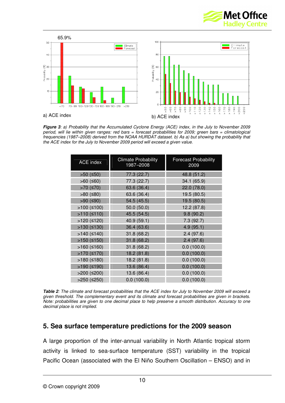



**Figure 3**: a) Probability that the Accumulated Cyclone Energy (ACE) index, in the July to November 2009 period, will lie within given ranges: red bars = forecast probabilities for 2009; green bars = climatological frequencies (1987–2008) derived from the NOAA HURDAT dataset. b) As a) but showing the probability that the ACE index for the July to November 2009 period will exceed a given value.

| <b>ACE index</b>      | <b>Climate Probability</b><br>1987-2008 | <b>Forecast Probability</b><br>2009 |  |
|-----------------------|-----------------------------------------|-------------------------------------|--|
| $>50$ ( $\leq 50$ )   | 77.3 (22.7)                             | 48.8 (51.2)                         |  |
| $>60$ ( $\leq 60$ )   | 77.3 (22.7)                             | 34.1 (65.9)                         |  |
| $>70$ ( $\leq 70$ )   | 63.6 (36.4)                             | 22.0 (78.0)                         |  |
| $>80$ ( $\leq 80$ )   | 63.6 (36.4)                             | 19.5 (80.5)                         |  |
| > $90$ (≤90)          | 54.5 (45.5)                             | 19.5 (80.5)                         |  |
| >100 $(≤100)$         | 50.0(50.0)                              | 12.2 (87.8)                         |  |
| >110 $(≤110)$         | 45.5 (54.5)                             | 9.8(90.2)                           |  |
| $>120$ ( $\leq 120$ ) | 40.9 (59.1)                             | 7.3(92.7)                           |  |
| $>130$ ( $\leq 130$ ) | 36.4 (63.6)                             | 4.9(95.1)                           |  |
| $>140$ ( $\leq 140$ ) | 31.8 (68.2)                             | 2.4(97.6)                           |  |
| $>150$ ( $\leq 150$ ) | 31.8 (68.2)                             | 2.4(97.6)                           |  |
| >160 $(≤160)$         | 31.8 (68.2)                             | 0.0(100.0)                          |  |
| >170 $(≤170)$         | 18.2 (81.8)                             | 0.0(100.0)                          |  |
| >180 $(≤180)$         | 18.2 (81.8)                             | 0.0(100.0)                          |  |
| >190 $(≤190)$         | 13.6 (86.4)                             | 0.0(100.0)                          |  |
| $>200$ ( $\leq 200$ ) | 13.6 (86.4)                             | 0.0(100.0)                          |  |
| $>250$ ( $\leq$ 250)  | 0.0(100.0)                              | 0.0(100.0)                          |  |

**Table 2**: The climate and forecast probabilities that the ACE index for July to November 2009 will exceed a given threshold. The complementary event and its climate and forecast probabilities are given in brackets. Note: probabilities are given to one decimal place to help preserve a smooth distribution. Accuracy to one decimal place is not implied.

#### **5. Sea surface temperature predictions for the 2009 season**

A large proportion of the inter-annual variability in North Atlantic tropical storm activity is linked to sea-surface temperature (SST) variability in the tropical Pacific Ocean (associated with the El Niño Southern Oscillation – ENSO) and in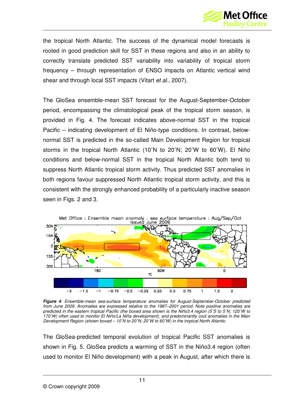

the tropical North Atlantic. The success of the dynamical model forecasts is rooted in good prediction skill for SST in these regions and also in an ability to correctly translate predicted SST variability into variability of tropical storm frequency – through representation of ENSO impacts on Atlantic vertical wind shear and through local SST impacts (Vitart et al., 2007).

The GloSea ensemble-mean SST forecast for the August-September-October period, encompassing the climatological peak of the tropical storm season, is provided in Fig. 4. The forecast indicates above-normal SST in the tropical Pacific – indicating development of El Niño-type conditions. In contrast, belownormal SST is predicted in the so-called Main Development Region for tropical storms in the tropical North Atlantic (10˚N to 20˚N; 20˚W to 60˚W). El Niño conditions and below-normal SST in the tropical North Atlantic both tend to suppress North Atlantic tropical storm activity. Thus predicted SST anomalies in both regions favour suppressed North Atlantic tropical storm activity, and this is consistent with the strongly enhanced probability of a particularly inactive season seen in Figs. 2 and 3.



**Figure 4**: Ensemble-mean sea-surface temperature anomalies for August-September-October predicted from June 2009. Anomalies are expressed relative to the 1987–2001 period. Note positive anomalies are predicted in the eastern tropical Pacific (the boxed area shown is the Niño3.4 region (5˚S to 5˚N; 120˚W to 170˚W) often used to monitor El Niño/La Niña development), and predominantly cool anomalies in the Main Development Region (shown boxed – 10˚N to 20˚N; 20˚W to 60˚W) in the tropical North Atlantic.

The GloSea-predicted temporal evolution of tropical Pacific SST anomalies is shown in Fig. 5. GloSea predicts a warming of SST in the Niño3.4 region (often used to monitor El Niño development) with a peak in August, after which there is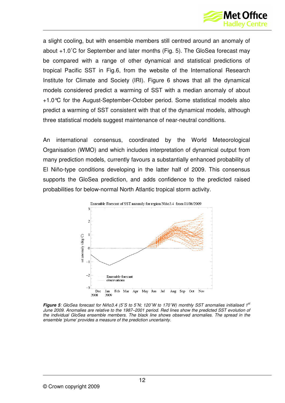

a slight cooling, but with ensemble members still centred around an anomaly of about +1.0˚C for September and later months (Fig. 5). The GloSea forecast may be compared with a range of other dynamical and statistical predictions of tropical Pacific SST in Fig.6, from the website of the International Research Institute for Climate and Society (IRI). Figure 6 shows that all the dynamical models considered predict a warming of SST with a median anomaly of about +1.0°C for the August-September-October period. Some statistical models also predict a warming of SST consistent with that of the dynamical models, although three statistical models suggest maintenance of near-neutral conditions.

An international consensus, coordinated by the World Meteorological Organisation (WMO) and which includes interpretation of dynamical output from many prediction models, currently favours a substantially enhanced probability of El Niño-type conditions developing in the latter half of 2009. This consensus supports the GloSea prediction, and adds confidence to the predicted raised probabilities for below-normal North Atlantic tropical storm activity.



**Figure 5**: GloSea forecast for Niño3.4 (5°S to 5°N; 120°W to 170°W) monthly SST anomalies initialised 1<sup>st</sup> June 2009. Anomalies are relative to the 1987–2001 period. Red lines show the predicted SST evolution of the individual GloSea ensemble members. The black line shows observed anomalies. The spread in the ensemble 'plume' provides a measure of the prediction uncertainty.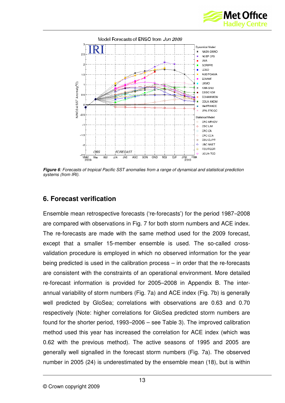



**Figure 6**: Forecasts of tropical Pacific SST anomalies from a range of dynamical and statistical prediction systems (from IRI).

#### **6. Forecast verification**

Ensemble mean retrospective forecasts ('re-forecasts') for the period 1987–2008 are compared with observations in Fig. 7 for both storm numbers and ACE index. The re-forecasts are made with the same method used for the 2009 forecast, except that a smaller 15-member ensemble is used. The so-called crossvalidation procedure is employed in which no observed information for the year being predicted is used in the calibration process – in order that the re-forecasts are consistent with the constraints of an operational environment. More detailed re-forecast information is provided for 2005–2008 in Appendix B. The interannual variability of storm numbers (Fig. 7a) and ACE index (Fig. 7b) is generally well predicted by GloSea; correlations with observations are 0.63 and 0.70 respectively (Note: higher correlations for GloSea predicted storm numbers are found for the shorter period, 1993–2006 – see Table 3). The improved calibration method used this year has increased the correlation for ACE index (which was 0.62 with the previous method). The active seasons of 1995 and 2005 are generally well signalled in the forecast storm numbers (Fig. 7a). The observed number in 2005 (24) is underestimated by the ensemble mean (18), but is within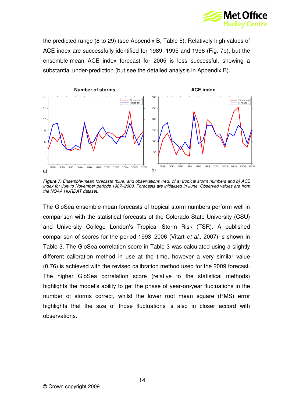

the predicted range (8 to 29) (see Appendix B, Table 5). Relatively high values of ACE index are successfully identified for 1989, 1995 and 1998 (Fig. 7b), but the ensemble-mean ACE index forecast for 2005 is less successful, showing a substantial under-prediction (but see the detailed analysis in Appendix B).



**Figure 7**: Ensemble-mean forecasts (blue) and observations (red) of a) tropical storm numbers and b) ACE index for July to November periods 1987–2008. Forecasts are initialised in June. Observed values are from the NOAA HURDAT dataset.

The GloSea ensemble-mean forecasts of tropical storm numbers perform well in comparison with the statistical forecasts of the Colorado State University (CSU) and University College London's Tropical Storm Risk (TSR). A published comparison of scores for the period 1993–2006 (Vitart et al., 2007) is shown in Table 3. The GloSea correlation score in Table 3 was calculated using a slightly different calibration method in use at the time, however a very similar value (0.76) is achieved with the revised calibration method used for the 2009 forecast. The higher GloSea correlation score (relative to the statistical methods) highlights the model's ability to get the phase of year-on-year fluctuations in the number of storms correct, whilst the lower root mean square (RMS) error highlights that the size of those fluctuations is also in closer accord with observations.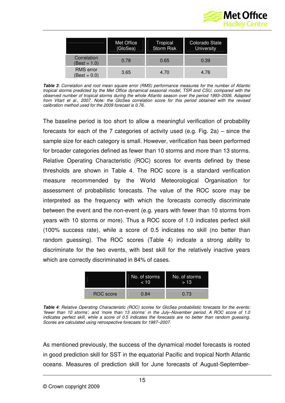

|                                         | Met Office<br>(GloSea) | Tropical<br><b>Storm Risk</b> | Colorado State<br>University |
|-----------------------------------------|------------------------|-------------------------------|------------------------------|
| Correlation<br>(Best = 1.0)             | 0.78                   | 0.65                          | 0.39                         |
| <b>RMS</b> error<br>$\text{Best} = 0.0$ | 3.65                   | 4.70                          | 4.76                         |

**Table 3**: Correlation and root mean square error (RMS) performance measures for the number of Atlantic tropical storms predicted by the Met Office dynamical seasonal model, TSR and CSU, compared with the observed number of tropical storms during the whole Atlantic season over the period 1993–2006. Adapted from Vitart et al., 2007. Note: the GloSea correlation score for this period obtained with the revised calibration method used for the 2009 forecast is 0.76.

The baseline period is too short to allow a meaningful verification of probability forecasts for each of the 7 categories of activity used (e.g. Fig. 2a) – since the sample size for each category is small. However, verification has been performed for broader categories defined as fewer than 10 storms and more than 13 storms. Relative Operating Characteristic (ROC) scores for events defined by these thresholds are shown in Table 4. The ROC score is a standard verification measure recommended by the World Meteorological Organisation for assessment of probabilistic forecasts. The value of the ROC score may be interpreted as the frequency with which the forecasts correctly discriminate between the event and the non-event (e.g. years with fewer than 10 storms from years with 10 storms or more). Thus a ROC score of 1.0 indicates perfect skill (100% success rate), while a score of 0.5 indicates no skill (no better than random guessing). The ROC scores (Table 4) indicate a strong ability to discriminate for the two events, with best skill for the relatively inactive years which are correctly discriminated in 84% of cases.

|           | No. of storms<br>10 | No. of storms<br>- 13 |
|-----------|---------------------|-----------------------|
| ROC score | በ 84                | 0.73                  |

**Table 4**: Relative Operating Characteristic (ROC) scores for GloSea probabilistic forecasts for the events: 'fewer than 10 storms', and 'more than 13 storms' in the July–November period. A ROC score of 1.0 indicates perfect skill, while a score of 0.5 indicates the forecasts are no better than random guessing. Scores are calculated using retrospective forecasts for 1987–2007.

As mentioned previously, the success of the dynamical model forecasts is rooted in good prediction skill for SST in the equatorial Pacific and tropical North Atlantic oceans. Measures of prediction skill for June forecasts of August-September-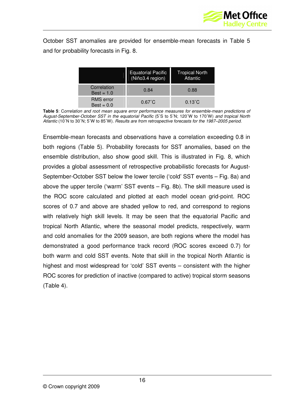

October SST anomalies are provided for ensemble-mean forecasts in Table 5 and for probability forecasts in Fig. 8.

|                                  | Equatorial Pacific<br>(Niño3.4 region) | <b>Tropical North</b><br>Atlantic |
|----------------------------------|----------------------------------------|-----------------------------------|
| Correlation<br>$Best = 1.0$      | 0.84                                   | 0.88                              |
| <b>RMS</b> error<br>$Best = 0.0$ | $0.67^{\circ}$ C                       | $0.13^{\circ}$ C                  |

**Table 5**: Correlation and root mean square error performance measures for ensemble-mean predictions of August-September-October SST in the equatorial Pacific (5˚S to 5˚N; 120˚W to 170˚W) and tropical North Atlantic (10˚N to 30˚N; 5˚W to 85˚W). Results are from retrospective forecasts for the 1987–2005 period.

Ensemble-mean forecasts and observations have a correlation exceeding 0.8 in both regions (Table 5). Probability forecasts for SST anomalies, based on the ensemble distribution, also show good skill. This is illustrated in Fig. 8, which provides a global assessment of retrospective probabilistic forecasts for August-September-October SST below the lower tercile ('cold' SST events – Fig. 8a) and above the upper tercile ('warm' SST events – Fig. 8b). The skill measure used is the ROC score calculated and plotted at each model ocean grid-point. ROC scores of 0.7 and above are shaded yellow to red, and correspond to regions with relatively high skill levels. It may be seen that the equatorial Pacific and tropical North Atlantic, where the seasonal model predicts, respectively, warm and cold anomalies for the 2009 season, are both regions where the model has demonstrated a good performance track record (ROC scores exceed 0.7) for both warm and cold SST events. Note that skill in the tropical North Atlantic is highest and most widespread for 'cold' SST events – consistent with the higher ROC scores for prediction of inactive (compared to active) tropical storm seasons (Table 4).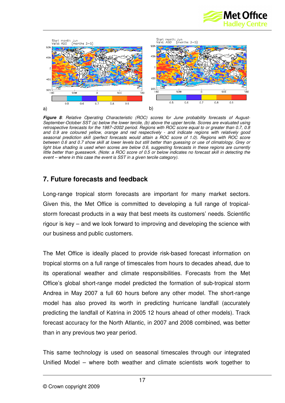



**Figure 8**: Relative Operating Characteristic (ROC) scores for June probability forecasts of August-September-October SST (a) below the lower tercile, (b) above the upper tercile. Scores are evaluated using retrospective forecasts for the 1987–2002 period. Regions with ROC score equal to or greater than 0.7, 0.8 and 0.9 are coloured yellow, orange and red respectively - and indicate regions with relatively good seasonal prediction skill (perfect forecasts would attain a ROC score of 1.0). Regions with ROC score between 0.6 and 0.7 show skill at lower levels but still better than guessing or use of climatology. Grey or light blue shading is used when scores are below 0.6, suggesting forecasts in these regions are currently little better than guesswork. (Note: a ROC score of 0.5 or below indicates no forecast skill in detecting the event – where in this case the event is SST in a given tercile category).

#### **7. Future forecasts and feedback**

Long-range tropical storm forecasts are important for many market sectors. Given this, the Met Office is committed to developing a full range of tropicalstorm forecast products in a way that best meets its customers' needs. Scientific rigour is key – and we look forward to improving and developing the science with our business and public customers.

The Met Office is ideally placed to provide risk-based forecast information on tropical storms on a full range of timescales from hours to decades ahead, due to its operational weather and climate responsibilities. Forecasts from the Met Office's global short-range model predicted the formation of sub-tropical storm Andrea in May 2007 a full 60 hours before any other model. The short-range model has also proved its worth in predicting hurricane landfall (accurately predicting the landfall of Katrina in 2005 12 hours ahead of other models). Track forecast accuracy for the North Atlantic, in 2007 and 2008 combined, was better than in any previous two year period.

This same technology is used on seasonal timescales through our integrated Unified Model – where both weather and climate scientists work together to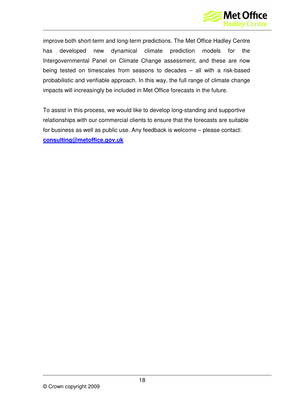

improve both short-term and long-term predictions. The Met Office Hadley Centre has developed new dynamical climate prediction models for the Intergovernmental Panel on Climate Change assessment, and these are now being tested on timescales from seasons to decades – all with a risk-based probabilistic and verifiable approach. In this way, the full range of climate change impacts will increasingly be included in Met Office forecasts in the future.

To assist in this process, we would like to develop long-standing and supportive relationships with our commercial clients to ensure that the forecasts are suitable for business as well as public use. Any feedback is welcome – please contact: **consulting@metoffice.gov.uk**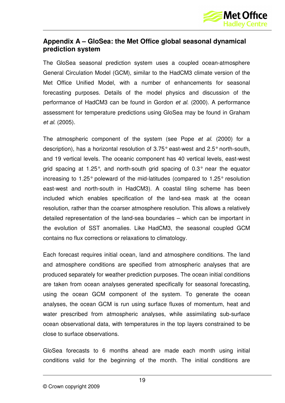

#### **Appendix A – GloSea: the Met Office global seasonal dynamical prediction system**

The GloSea seasonal prediction system uses a coupled ocean-atmosphere General Circulation Model (GCM), similar to the HadCM3 climate version of the Met Office Unified Model, with a number of enhancements for seasonal forecasting purposes. Details of the model physics and discussion of the performance of HadCM3 can be found in Gordon et al. (2000). A performance assessment for temperature predictions using GloSea may be found in Graham et al. (2005).

The atmospheric component of the system (see Pope et al. (2000) for a description), has a horizontal resolution of 3.75° east-west and 2.5° north-south, and 19 vertical levels. The oceanic component has 40 vertical levels, east-west grid spacing at 1.25°, and north-south grid spacing of 0.3° near the equator increasing to 1.25° poleward of the mid-latitudes (compared to 1.25° resolution east-west and north-south in HadCM3). A coastal tiling scheme has been included which enables specification of the land-sea mask at the ocean resolution, rather than the coarser atmosphere resolution. This allows a relatively detailed representation of the land-sea boundaries – which can be important in the evolution of SST anomalies. Like HadCM3, the seasonal coupled GCM contains no flux corrections or relaxations to climatology.

Each forecast requires initial ocean, land and atmosphere conditions. The land and atmosphere conditions are specified from atmospheric analyses that are produced separately for weather prediction purposes. The ocean initial conditions are taken from ocean analyses generated specifically for seasonal forecasting, using the ocean GCM component of the system. To generate the ocean analyses, the ocean GCM is run using surface fluxes of momentum, heat and water prescribed from atmospheric analyses, while assimilating sub-surface ocean observational data, with temperatures in the top layers constrained to be close to surface observations.

GloSea forecasts to 6 months ahead are made each month using initial conditions valid for the beginning of the month. The initial conditions are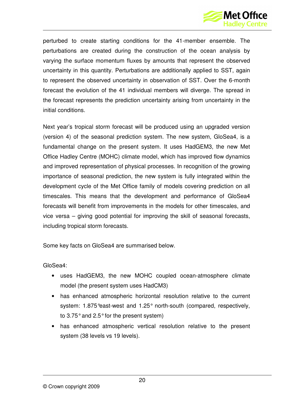

perturbed to create starting conditions for the 41-member ensemble. The perturbations are created during the construction of the ocean analysis by varying the surface momentum fluxes by amounts that represent the observed uncertainty in this quantity. Perturbations are additionally applied to SST, again to represent the observed uncertainty in observation of SST. Over the 6-month forecast the evolution of the 41 individual members will diverge. The spread in the forecast represents the prediction uncertainty arising from uncertainty in the initial conditions.

Next year's tropical storm forecast will be produced using an upgraded version (version 4) of the seasonal prediction system. The new system, GloSea4, is a fundamental change on the present system. It uses HadGEM3, the new Met Office Hadley Centre (MOHC) climate model, which has improved flow dynamics and improved representation of physical processes. In recognition of the growing importance of seasonal prediction, the new system is fully integrated within the development cycle of the Met Office family of models covering prediction on all timescales. This means that the development and performance of GloSea4 forecasts will benefit from improvements in the models for other timescales, and vice versa – giving good potential for improving the skill of seasonal forecasts, including tropical storm forecasts.

Some key facts on GloSea4 are summarised below.

GloSea4:

- uses HadGEM3, the new MOHC coupled ocean-atmosphere climate model (the present system uses HadCM3)
- has enhanced atmospheric horizontal resolution relative to the current system: 1.875°east-west and 1.25° north-south (compared, respectively, to 3.75° and 2.5° for the present system)
- has enhanced atmospheric vertical resolution relative to the present system (38 levels vs 19 levels).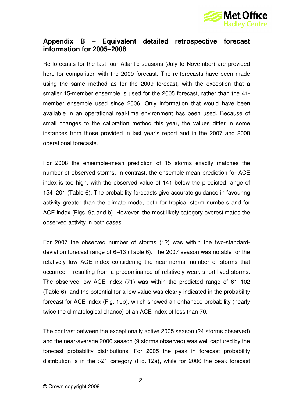

#### **Appendix B – Equivalent detailed retrospective forecast information for 2005–2008**

Re-forecasts for the last four Atlantic seasons (July to November) are provided here for comparison with the 2009 forecast. The re-forecasts have been made using the same method as for the 2009 forecast, with the exception that a smaller 15-member ensemble is used for the 2005 forecast, rather than the 41 member ensemble used since 2006. Only information that would have been available in an operational real-time environment has been used. Because of small changes to the calibration method this year, the values differ in some instances from those provided in last year's report and in the 2007 and 2008 operational forecasts.

For 2008 the ensemble-mean prediction of 15 storms exactly matches the number of observed storms. In contrast, the ensemble-mean prediction for ACE index is too high, with the observed value of 141 below the predicted range of 154–201 (Table 6). The probability forecasts give accurate guidance in favouring activity greater than the climate mode, both for tropical storm numbers and for ACE index (Figs. 9a and b). However, the most likely category overestimates the observed activity in both cases.

For 2007 the observed number of storms (12) was within the two-standarddeviation forecast range of 6–13 (Table 6). The 2007 season was notable for the relatively low ACE index considering the near-normal number of storms that occurred – resulting from a predominance of relatively weak short-lived storms. The observed low ACE index (71) was within the predicted range of 61–102 (Table 6), and the potential for a low value was clearly indicated in the probability forecast for ACE index (Fig. 10b), which showed an enhanced probability (nearly twice the climatological chance) of an ACE index of less than 70.

The contrast between the exceptionally active 2005 season (24 storms observed) and the near-average 2006 season (9 storms observed) was well captured by the forecast probability distributions. For 2005 the peak in forecast probability distribution is in the >21 category (Fig. 12a), while for 2006 the peak forecast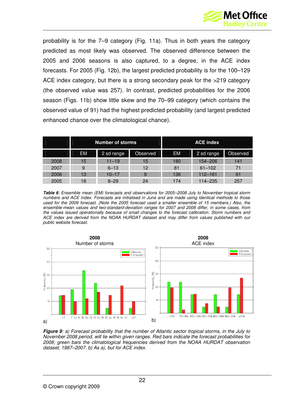

probability is for the 7–9 category (Fig. 11a). Thus in both years the category predicted as most likely was observed. The observed difference between the 2005 and 2006 seasons is also captured, to a degree, in the ACE index forecasts. For 2005 (Fig. 12b), the largest predicted probability is for the 100–129 ACE index category, but there is a strong secondary peak for the >219 category (the observed value was 257). In contrast, predicted probabilities for the 2006 season (Figs. 11b) show little skew and the 70–99 category (which contains the observed value of 91) had the highest predicted probability (and largest predicted enhanced chance over the climatological chance).

|      | <b>Number of storms</b> |            | <b>ACE index</b> |           |             |          |
|------|-------------------------|------------|------------------|-----------|-------------|----------|
|      | <b>EM</b>               | 2 sd range | <b>Observed</b>  | <b>EM</b> | 2 sd range  | Observed |
| 2008 | 15                      | $11 - 19$  | 15               | 180       | 154-206     | 141      |
| 2007 | 9                       | $6 - 13$   | 12               | 81        | $61 - 102$  | 71       |
| 2006 | 13                      | $10 - 17$  | 9                | 136       | $112 - 161$ | 91       |
| 2005 | 18                      | $8 - 29$   | 24               | 174       | 114-235     | 257      |

**Table 6**: Ensemble mean (EM) forecasts and observations for 2005–2008 July to November tropical storm numbers and ACE index. Forecasts are initialised in June and are made using identical methods to those used for the 2009 forecast. (Note the 2005 forecast used a smaller ensemble of 15 members.) Also, the ensemble-mean values and two-standard-deviation ranges for 2007 and 2008 differ, in some cases, from the values issued operationally because of small changes to the forecast calibration. Storm numbers and ACE index are derived from the NOAA HURDAT dataset and may differ from values published with our public website forecast.



**Figure 9**: a) Forecast probability that the number of Atlantic sector tropical storms, in the July to November 2008 period, will lie within given ranges. Red bars indicate the forecast probabilities for 2008; green bars the climatological frequencies derived from the NOAA HURDAT observation dataset, 1987–2007. b) As a), but for ACE index.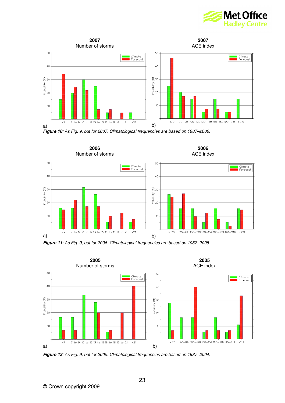







**Figure 11**: As Fig. 9, but for 2006. Climatological frequencies are based on 1987–2005.



**Figure 12**: As Fig. 9, but for 2005. Climatological frequencies are based on 1987–2004.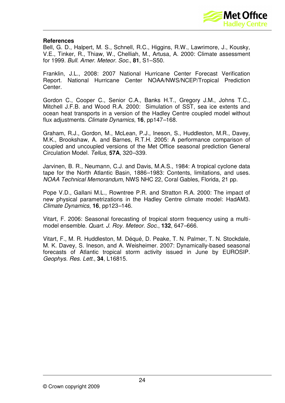

#### **References**

Bell, G. D., Halpert, M. S., Schnell, R.C., Higgins, R.W., Lawrimore, J., Kousky, V.E., Tinker, R., Thiaw, W., Chelliah, M., Artusa, A. 2000: Climate assessment for 1999. Bull. Amer. Meteor. Soc., **81**, S1–S50.

Franklin, J.L., 2008: 2007 National Hurricane Center Forecast Verification Report. National Hurricane Center NOAA/NWS/NCEP/Tropical Prediction Center.

Gordon C., Cooper C., Senior C.A., Banks H.T., Gregory J.M., Johns T.C., Mitchell J.F.B. and Wood R.A. 2000: Simulation of SST, sea ice extents and ocean heat transports in a version of the Hadley Centre coupled model without flux adjustments. Climate Dynamics, **16**, pp147–168.

Graham, R.J., Gordon, M., McLean, P.J., Ineson, S., Huddleston, M.R., Davey, M.K., Brookshaw, A. and Barnes, R.T.H. 2005: A performance comparison of coupled and uncoupled versions of the Met Office seasonal prediction General Circulation Model. Tellus, **57A**, 320–339.

Jarvinen, B. R., Neumann, C.J. and Davis, M.A.S., 1984: A tropical cyclone data tape for the North Atlantic Basin, 1886–1983: Contents, limitations, and uses. NOAA Technical Memorandum, NWS NHC 22, Coral Gables, Florida, 21 pp.

Pope V.D., Gallani M.L., Rowntree P.R. and Stratton R.A. 2000: The impact of new physical parametrizations in the Hadley Centre climate model: HadAM3. Climate Dynamics, **16**, pp123–146.

Vitart, F. 2006: Seasonal forecasting of tropical storm frequency using a multimodel ensemble. Quart. J. Roy. Meteor. Soc., **132**, 647–666.

Vitart, F., M. R. Huddleston, M. Déqué, D. Peake, T. N. Palmer, T. N. Stockdale, M. K. Davey, S. Ineson, and A. Weisheimer. 2007: Dynamically-based seasonal forecasts of Atlantic tropical storm activity issued in June by EUROSIP. Geophys. Res. Lett., **34**, L16815.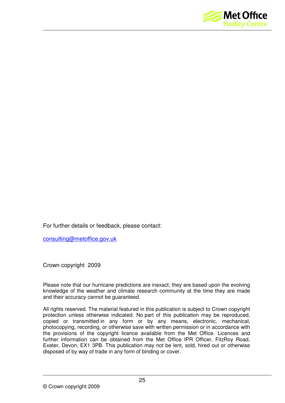

For further details or feedback, please contact:

consulting@metoffice.gov.uk

Crown copyright 2009

Please note that our hurricane predictions are inexact; they are based upon the evolving knowledge of the weather and climate research community at the time they are made and their accuracy cannot be guaranteed.

All rights reserved. The material featured in this publication is subject to Crown copyright protection unless otherwise indicated. No part of this publication may be reproduced, copied or transmitted in any form or by any means, electronic, mechanical, photocopying, recording, or otherwise save with written permission or in accordance with the provisions of the copyright licence available from the Met Office. Licences and further information can be obtained from the Met Office IPR Officer, FitzRoy Road, Exeter, Devon, EX1 3PB. This publication may not be lent, sold, hired out or otherwise disposed of by way of trade in any form of binding or cover.

© Crown copyright 2009